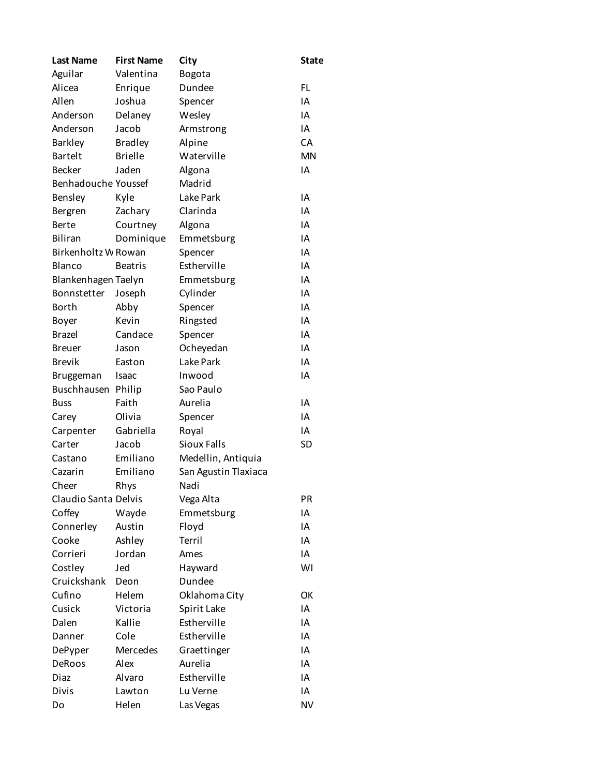| <b>Last Name</b>     | <b>First Name</b> | City                 | <b>State</b> |
|----------------------|-------------------|----------------------|--------------|
| Aguilar              | Valentina         | Bogota               |              |
| Alicea               | Enrique           | Dundee               | <b>FL</b>    |
| Allen                | Joshua            | Spencer              | IA           |
| Anderson             | Delaney           | Wesley               | IA           |
| Anderson             | Jacob             | Armstrong            | IA           |
| <b>Barkley</b>       | <b>Bradley</b>    | Alpine               | СA           |
| <b>Bartelt</b>       | <b>Brielle</b>    | Waterville           | <b>MN</b>    |
| <b>Becker</b>        | Jaden             | Algona               | IA           |
| Benhadouche Youssef  |                   | Madrid               |              |
| <b>Bensley</b>       | Kyle              | Lake Park            | IA           |
| Bergren              | Zachary           | Clarinda             | IA           |
| <b>Berte</b>         | Courtney          | Algona               | IA           |
| <b>Biliran</b>       | Dominique         | Emmetsburg           | IA           |
| Birkenholtz W Rowan  |                   | Spencer              | IA           |
| <b>Blanco</b>        | <b>Beatris</b>    | Estherville          | IA           |
| Blankenhagen Taelyn  |                   | Emmetsburg           | IA           |
| Bonnstetter          | Joseph            | Cylinder             | IA           |
| <b>Borth</b>         | Abby              | Spencer              | IA           |
| Boyer                | Kevin             | Ringsted             | IA           |
| <b>Brazel</b>        | Candace           | Spencer              | IA           |
| <b>Breuer</b>        | Jason             | Ocheyedan            | IA           |
| <b>Brevik</b>        | Easton            | Lake Park            | IA           |
| Bruggeman            | Isaac             | Inwood               | IA           |
| Buschhausen          | Philip            | Sao Paulo            |              |
| <b>Buss</b>          | Faith             | Aurelia              | IA           |
| Carey                | Olivia            | Spencer              | IA           |
| Carpenter            | Gabriella         | Royal                | IA           |
| Carter               | Jacob             | <b>Sioux Falls</b>   | <b>SD</b>    |
| Castano              | Emiliano          | Medellin, Antiquia   |              |
| Cazarin              | Emiliano          | San Agustin Tlaxiaca |              |
| Cheer                | Rhys              | Nadi                 |              |
| Claudio Santa Delvis |                   | Vega Alta            | PR           |
| Coffey               | Wayde             | Emmetsburg           | IA           |
| Connerley            | Austin            | Floyd                | IA           |
| Cooke                | Ashley            | Terril               | ΙA           |
| Corrieri             | Jordan            | Ames                 | IA           |
| Costley              | Jed               | Hayward              | WI           |
| Cruickshank          | Deon              | Dundee               |              |
| Cufino               | Helem             | Oklahoma City        | OK           |
| Cusick               | Victoria          | Spirit Lake          | IA           |
| Dalen                | Kallie            | Estherville          | ΙA           |
| Danner               | Cole              | Estherville          | IA           |
| DePyper              | Mercedes          | Graettinger          | ΙA           |
| DeRoos               | Alex              | Aurelia              | ΙA           |
| Diaz                 | Alvaro            | Estherville          | IA           |
| <b>Divis</b>         | Lawton            | Lu Verne             | IA           |
| Do                   | Helen             | Las Vegas            | <b>NV</b>    |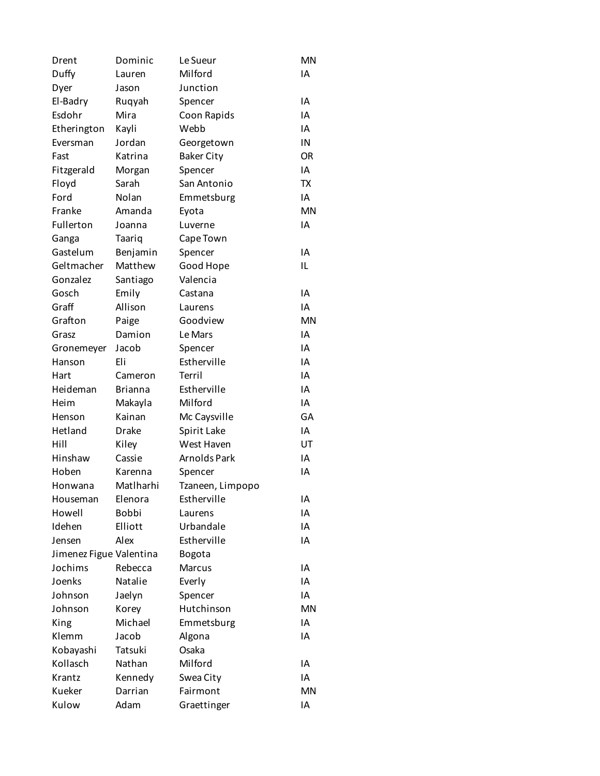| Drent                   | Dominic        | Le Sueur          | MN        |
|-------------------------|----------------|-------------------|-----------|
| Duffy                   | Lauren         | Milford           | IA        |
| Dyer                    | Jason          | Junction          |           |
| El-Badry                | Ruqyah         | Spencer           | ΙA        |
| Esdohr                  | Mira           | Coon Rapids       | IA        |
| Etherington             | Kayli          | Webb              | IA        |
| Eversman                | Jordan         | Georgetown        | IN        |
| Fast                    | Katrina        | <b>Baker City</b> | <b>OR</b> |
| Fitzgerald              | Morgan         | Spencer           | IA        |
| Floyd                   | Sarah          | San Antonio       | <b>TX</b> |
| Ford                    | Nolan          | Emmetsburg        | IA        |
| Franke                  | Amanda         | Eyota             | MN        |
| Fullerton               | Joanna         | Luverne           | IΑ        |
| Ganga                   | Taariq         | Cape Town         |           |
| Gastelum                | Benjamin       | Spencer           | ΙA        |
| Geltmacher              | Matthew        | Good Hope         | IL        |
| Gonzalez                | Santiago       | Valencia          |           |
| Gosch                   | Emily          | Castana           | ΙA        |
| Graff                   | Allison        | Laurens           | ΙA        |
| Grafton                 | Paige          | Goodview          | MN        |
| Grasz                   | Damion         | Le Mars           | ΙA        |
|                         | Jacob          | Spencer           | ΙA        |
| Gronemeyer              | Eli            | Estherville       | IA        |
| Hanson                  |                | Terril            | IA        |
| Hart                    | Cameron        |                   |           |
| Heideman                | <b>Brianna</b> | Estherville       | ΙA        |
| Heim                    | Makayla        | Milford           | IA        |
| Henson                  | Kainan         | Mc Caysville      | GA        |
| Hetland                 | Drake          | Spirit Lake       | ΙA        |
| Hill                    | Kiley          | West Haven        | UT        |
| Hinshaw                 | Cassie         | Arnolds Park      | IA        |
| Hoben                   | Karenna        | Spencer           | ΙA        |
| Honwana                 | Matlharhi      | Tzaneen, Limpopo  |           |
| Houseman                | Elenora        | Estherville       | IA        |
| Howell                  | Bobbi          | Laurens           | ΙA        |
| Idehen                  | Elliott        | Urbandale         | ΙA        |
| Jensen                  | Alex           | Estherville       | ΙA        |
| Jimenez Figue Valentina |                | Bogota            |           |
| Jochims                 | Rebecca        | <b>Marcus</b>     | ΙA        |
| Joenks                  | <b>Natalie</b> | Everly            | ΙA        |
| Johnson                 | Jaelyn         | Spencer           | ΙA        |
| Johnson                 | Korey          | Hutchinson        | MN        |
| King                    | Michael        | Emmetsburg        | ΙA        |
| Klemm                   | Jacob          | Algona            | ΙA        |
| Kobayashi               | Tatsuki        | Osaka             |           |
| Kollasch                | Nathan         | Milford           | ΙA        |
| Krantz                  | Kennedy        | Swea City         | ΙA        |
| Kueker                  | Darrian        | Fairmont          | MN        |
| Kulow                   | Adam           | Graettinger       | ΙA        |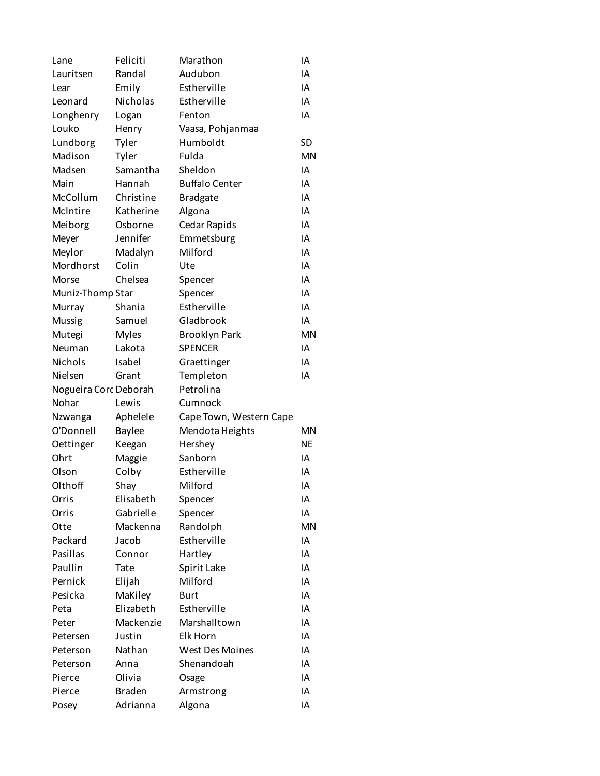| Lane                  | Feliciti      | Marathon                | ΙA        |
|-----------------------|---------------|-------------------------|-----------|
| Lauritsen             | Randal        | Audubon                 | IA        |
| Lear                  | Emily         | Estherville             | IA        |
| Leonard               | Nicholas      | Estherville             | ΙA        |
| Longhenry             | Logan         | Fenton                  | IA        |
| Louko                 | Henry         | Vaasa, Pohjanmaa        |           |
| Lundborg              | Tyler         | Humboldt                | SD        |
| Madison               | Tyler         | Fulda                   | <b>MN</b> |
| Madsen                | Samantha      | Sheldon                 | IA        |
| Main                  | Hannah        | <b>Buffalo Center</b>   | ΙA        |
| McCollum              | Christine     | <b>Bradgate</b>         | IA        |
| McIntire              | Katherine     | Algona                  | IA        |
| Meiborg               | Osborne       | Cedar Rapids            | ΙA        |
| Meyer                 | Jennifer      | Emmetsburg              | IA        |
| Meylor                | Madalyn       | Milford                 | IA        |
| Mordhorst             | Colin         | Ute                     | ΙA        |
| Morse                 | Chelsea       | Spencer                 | IA        |
| Muniz-Thomp Star      |               | Spencer                 | IA        |
| Murray                | Shania        | Estherville             | ΙA        |
| Mussig                | Samuel        | Gladbrook               | IA        |
| Mutegi                | <b>Myles</b>  | <b>Brooklyn Park</b>    | <b>MN</b> |
| Neuman                | Lakota        | <b>SPENCER</b>          | ΙA        |
| Nichols               | Isabel        | Graettinger             | IA        |
| Nielsen               | Grant         | Templeton               | IA        |
| Nogueira Corc Deborah |               | Petrolina               |           |
| Nohar                 | Lewis         | Cumnock                 |           |
| Nzwanga               | Aphelele      | Cape Town, Western Cape |           |
| O'Donnell             | <b>Baylee</b> | Mendota Heights         | <b>MN</b> |
| Oettinger             | Keegan        | Hershey                 | <b>NE</b> |
| Ohrt                  | Maggie        | Sanborn                 | IA        |
| Olson                 | Colby         | Estherville             | IΑ        |
| Olthoff               | Shay          | Milford                 | ΙA        |
| Orris                 | Elisabeth     | Spencer                 | ΙA        |
| Orris                 | Gabrielle     | Spencer                 | ΙA        |
| Otte                  | Mackenna      | Randolph                | <b>MN</b> |
| Packard               | Jacob         | Estherville             | ΙA        |
| Pasillas              | Connor        | Hartley                 | ΙA        |
| Paullin               | Tate          | Spirit Lake             | ΙA        |
| Pernick               | Elijah        | Milford                 | ΙA        |
| Pesicka               | MaKiley       | <b>Burt</b>             | IA        |
| Peta                  | Elizabeth     | Estherville             | ΙA        |
| Peter                 | Mackenzie     | Marshalltown            | ΙA        |
| Petersen              | Justin        | Elk Horn                | ΙA        |
| Peterson              | Nathan        | <b>West Des Moines</b>  | ΙA        |
| Peterson              | Anna          | Shenandoah              | ΙA        |
| Pierce                | Olivia        | Osage                   | IA        |
| Pierce                | <b>Braden</b> | Armstrong               | ΙA        |
| Posey                 | Adrianna      | Algona                  | IA        |